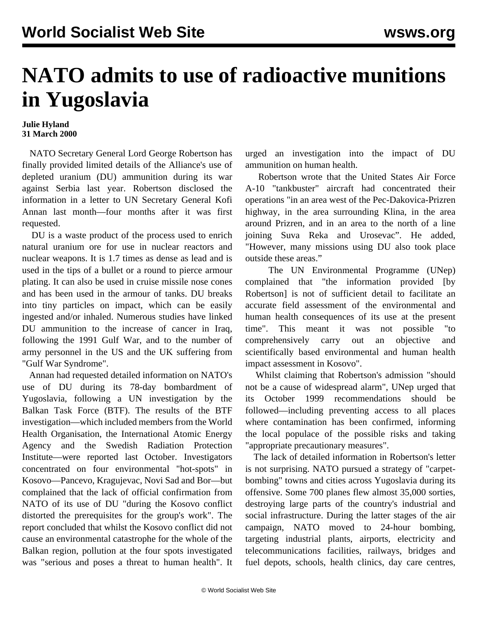## **NATO admits to use of radioactive munitions in Yugoslavia**

## **Julie Hyland 31 March 2000**

 NATO Secretary General Lord George Robertson has finally provided limited details of the Alliance's use of depleted uranium (DU) ammunition during its war against Serbia last year. Robertson disclosed the information in a letter to UN Secretary General Kofi Annan last month—four months after it was first requested.

 DU is a waste product of the process used to enrich natural uranium ore for use in nuclear reactors and nuclear weapons. It is 1.7 times as dense as lead and is used in the tips of a bullet or a round to pierce armour plating. It can also be used in cruise missile nose cones and has been used in the armour of tanks. DU breaks into tiny particles on impact, which can be easily ingested and/or inhaled. Numerous studies have linked DU ammunition to the increase of cancer in Iraq, following the 1991 Gulf War, and to the number of army personnel in the US and the UK suffering from "Gulf War Syndrome".

 Annan had requested detailed information on NATO's use of DU during its 78-day bombardment of Yugoslavia, following a UN investigation by the Balkan Task Force (BTF). The results of the BTF investigation—which included members from the World Health Organisation, the International Atomic Energy Agency and the Swedish Radiation Protection Institute—were reported last October. Investigators concentrated on four environmental "hot-spots" in Kosovo—Pancevo, Kragujevac, Novi Sad and Bor—but complained that the lack of official confirmation from NATO of its use of DU "during the Kosovo conflict distorted the prerequisites for the group's work". The report concluded that whilst the Kosovo conflict did not cause an environmental catastrophe for the whole of the Balkan region, pollution at the four spots investigated was "serious and poses a threat to human health". It

urged an investigation into the impact of DU ammunition on human health.

 Robertson wrote that the United States Air Force A-10 "tankbuster" aircraft had concentrated their operations "in an area west of the Pec-Dakovica-Prizren highway, in the area surrounding Klina, in the area around Prizren, and in an area to the north of a line joining Suva Reka and Urosevac". He added, "However, many missions using DU also took place outside these areas."

 The UN Environmental Programme (UNep) complained that "the information provided [by Robertson] is not of sufficient detail to facilitate an accurate field assessment of the environmental and human health consequences of its use at the present time". This meant it was not possible "to comprehensively carry out an objective and scientifically based environmental and human health impact assessment in Kosovo".

 Whilst claiming that Robertson's admission "should not be a cause of widespread alarm", UNep urged that its October 1999 recommendations should be followed—including preventing access to all places where contamination has been confirmed, informing the local populace of the possible risks and taking "appropriate precautionary measures".

 The lack of detailed information in Robertson's letter is not surprising. NATO pursued a strategy of "carpetbombing" towns and cities across Yugoslavia during its offensive. Some 700 planes flew almost 35,000 sorties, destroying large parts of the country's industrial and social infrastructure. During the latter stages of the air campaign, NATO moved to 24-hour bombing, targeting industrial plants, airports, electricity and telecommunications facilities, railways, bridges and fuel depots, schools, health clinics, day care centres,